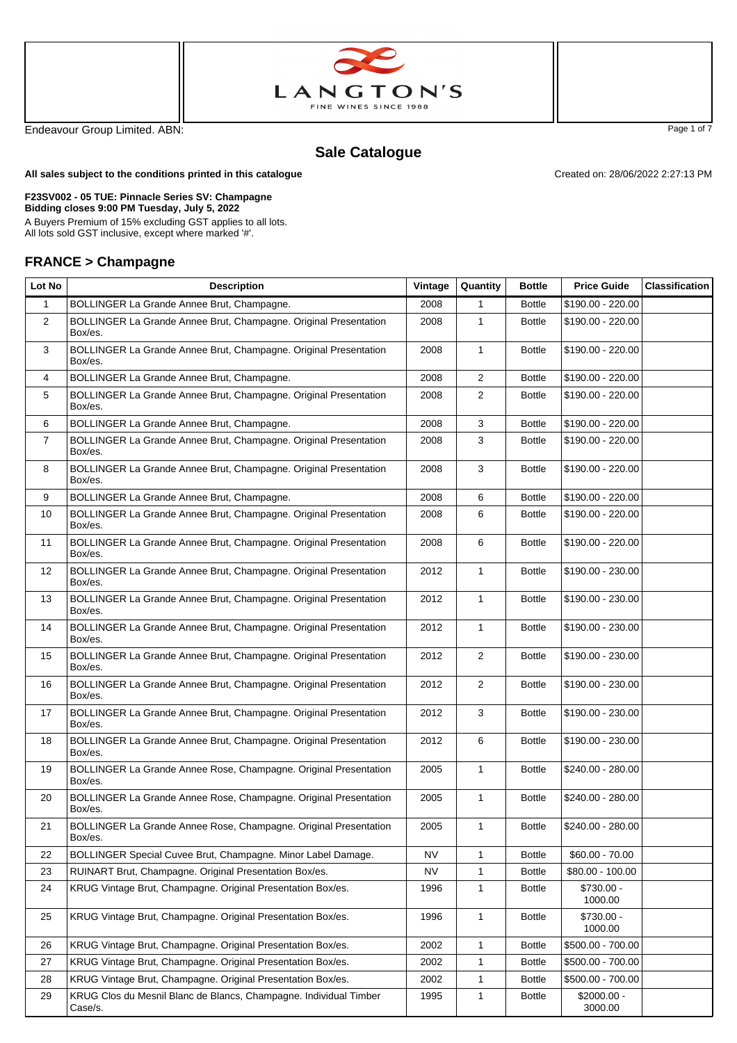



Endeavour Group Limited. ABN: Page 1 of 7

Created on: 28/06/2022 2:27:13 PM

## **Sale Catalogue**

**All sales subject to the conditions printed in this catalogue**

## **F23SV002 - 05 TUE: Pinnacle Series SV: Champagne**

**Bidding closes 9:00 PM Tuesday, July 5, 2022** A Buyers Premium of 15% excluding GST applies to all lots.

All lots sold GST inclusive, except where marked '#'.

## **FRANCE > Champagne**

| Lot No         | <b>Description</b>                                                           | Vintage   | Quantity       | <b>Bottle</b> | <b>Price Guide</b>      | <b>Classification</b> |
|----------------|------------------------------------------------------------------------------|-----------|----------------|---------------|-------------------------|-----------------------|
| $\mathbf{1}$   | BOLLINGER La Grande Annee Brut, Champagne.                                   | 2008      | 1              | <b>Bottle</b> | \$190.00 - 220.00       |                       |
| $\overline{2}$ | BOLLINGER La Grande Annee Brut, Champagne. Original Presentation<br>Box/es.  | 2008      | $\mathbf{1}$   | <b>Bottle</b> | \$190.00 - 220.00       |                       |
| 3              | BOLLINGER La Grande Annee Brut, Champagne. Original Presentation<br>Box/es.  | 2008      | $\mathbf{1}$   | <b>Bottle</b> | \$190.00 - 220.00       |                       |
| 4              | BOLLINGER La Grande Annee Brut, Champagne.                                   | 2008      | $\overline{2}$ | <b>Bottle</b> | \$190.00 - 220.00       |                       |
| 5              | BOLLINGER La Grande Annee Brut, Champagne. Original Presentation<br>Box/es.  | 2008      | 2              | <b>Bottle</b> | \$190.00 - 220.00       |                       |
| 6              | BOLLINGER La Grande Annee Brut, Champagne.                                   | 2008      | 3              | <b>Bottle</b> | \$190.00 - 220.00       |                       |
| $\overline{7}$ | BOLLINGER La Grande Annee Brut, Champagne. Original Presentation<br>Box/es.  | 2008      | 3              | <b>Bottle</b> | \$190.00 - 220.00       |                       |
| 8              | BOLLINGER La Grande Annee Brut, Champagne. Original Presentation<br>Box/es.  | 2008      | 3              | <b>Bottle</b> | \$190.00 - 220.00       |                       |
| 9              | BOLLINGER La Grande Annee Brut, Champagne.                                   | 2008      | 6              | <b>Bottle</b> | \$190.00 - 220.00       |                       |
| 10             | BOLLINGER La Grande Annee Brut, Champagne. Original Presentation<br>Box/es.  | 2008      | 6              | <b>Bottle</b> | \$190.00 - 220.00       |                       |
| 11             | BOLLINGER La Grande Annee Brut, Champagne. Original Presentation<br>Box/es.  | 2008      | 6              | <b>Bottle</b> | \$190.00 - 220.00       |                       |
| 12             | BOLLINGER La Grande Annee Brut, Champagne. Original Presentation<br>Box/es.  | 2012      | 1              | <b>Bottle</b> | \$190.00 - 230.00       |                       |
| 13             | BOLLINGER La Grande Annee Brut, Champagne. Original Presentation<br>Box/es.  | 2012      | $\mathbf{1}$   | <b>Bottle</b> | \$190.00 - 230.00       |                       |
| 14             | BOLLINGER La Grande Annee Brut, Champagne. Original Presentation<br>Box/es.  | 2012      | $\mathbf{1}$   | <b>Bottle</b> | \$190.00 - 230.00       |                       |
| 15             | BOLLINGER La Grande Annee Brut, Champagne. Original Presentation<br>Box/es.  | 2012      | $\overline{2}$ | <b>Bottle</b> | \$190.00 - 230.00       |                       |
| 16             | BOLLINGER La Grande Annee Brut, Champagne. Original Presentation<br>Box/es.  | 2012      | $\overline{2}$ | <b>Bottle</b> | \$190.00 - 230.00       |                       |
| 17             | BOLLINGER La Grande Annee Brut, Champagne. Original Presentation<br>Box/es.  | 2012      | 3              | <b>Bottle</b> | \$190.00 - 230.00       |                       |
| 18             | BOLLINGER La Grande Annee Brut, Champagne. Original Presentation<br>Box/es.  | 2012      | 6              | <b>Bottle</b> | \$190.00 - 230.00       |                       |
| 19             | BOLLINGER La Grande Annee Rose, Champagne. Original Presentation<br>Box/es.  | 2005      | $\mathbf{1}$   | <b>Bottle</b> | \$240.00 - 280.00       |                       |
| 20             | BOLLINGER La Grande Annee Rose, Champagne. Original Presentation<br>Box/es.  | 2005      | $\mathbf{1}$   | <b>Bottle</b> | \$240.00 - 280.00       |                       |
| 21             | BOLLINGER La Grande Annee Rose, Champagne. Original Presentation<br>Box/es.  | 2005      | $\mathbf{1}$   | <b>Bottle</b> | \$240.00 - 280.00       |                       |
| 22             | BOLLINGER Special Cuvee Brut, Champagne. Minor Label Damage.                 | NV        | 1              | <b>Bottle</b> | $$60.00 - 70.00$        |                       |
| 23             | RUINART Brut, Champagne. Original Presentation Box/es.                       | <b>NV</b> | $\mathbf{1}$   | <b>Bottle</b> | \$80.00 - 100.00        |                       |
| 24             | KRUG Vintage Brut, Champagne. Original Presentation Box/es.                  | 1996      | 1              | <b>Bottle</b> | $$730.00 -$<br>1000.00  |                       |
| 25             | KRUG Vintage Brut, Champagne. Original Presentation Box/es.                  | 1996      | $\mathbf{1}$   | <b>Bottle</b> | \$730.00 -<br>1000.00   |                       |
| 26             | KRUG Vintage Brut, Champagne. Original Presentation Box/es.                  | 2002      | $\mathbf{1}$   | <b>Bottle</b> | \$500.00 - 700.00       |                       |
| 27             | KRUG Vintage Brut, Champagne. Original Presentation Box/es.                  | 2002      | 1              | <b>Bottle</b> | \$500.00 - 700.00       |                       |
| 28             | KRUG Vintage Brut, Champagne. Original Presentation Box/es.                  | 2002      | 1              | <b>Bottle</b> | \$500.00 - 700.00       |                       |
| 29             | KRUG Clos du Mesnil Blanc de Blancs, Champagne. Individual Timber<br>Case/s. | 1995      | $\mathbf{1}$   | <b>Bottle</b> | $$2000.00 -$<br>3000.00 |                       |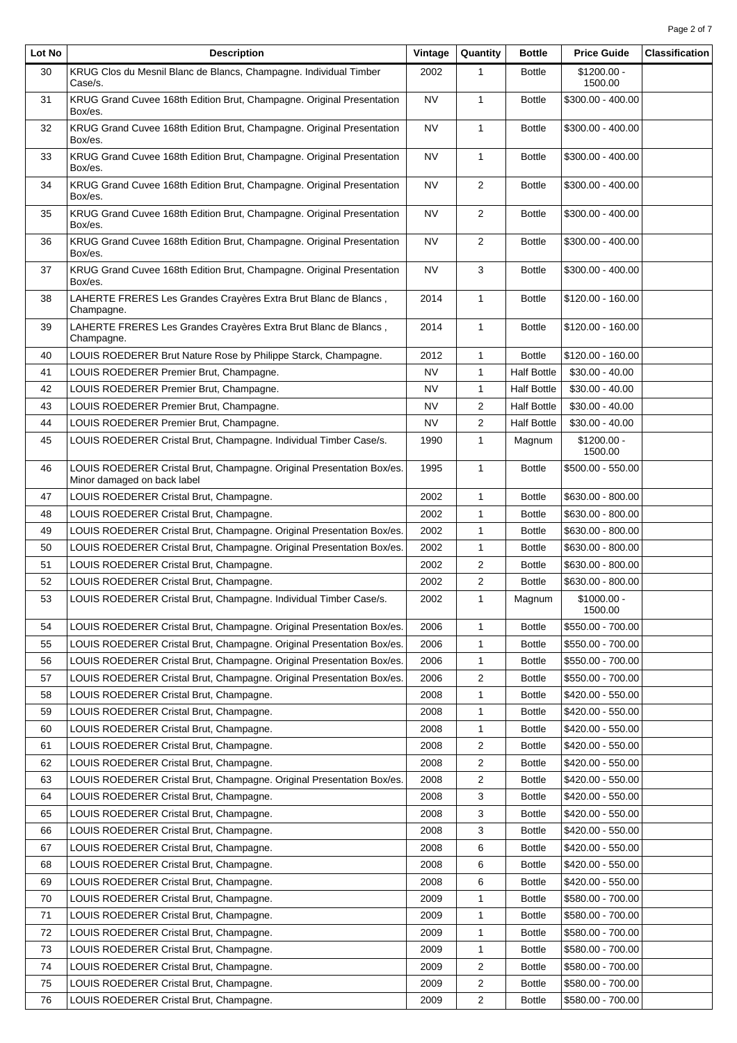| Lot No | <b>Description</b>                                                               | Vintage   | Quantity       | <b>Bottle</b>      | <b>Price Guide</b>           | <b>Classification</b> |
|--------|----------------------------------------------------------------------------------|-----------|----------------|--------------------|------------------------------|-----------------------|
| 30     | KRUG Clos du Mesnil Blanc de Blancs, Champagne. Individual Timber<br>Case/s.     | 2002      | 1              | <b>Bottle</b>      | $$1200.00 -$<br>1500.00      |                       |
| 31     | KRUG Grand Cuvee 168th Edition Brut, Champagne. Original Presentation<br>Box/es. | NV        | $\mathbf{1}$   | <b>Bottle</b>      | \$300.00 - 400.00            |                       |
| 32     | KRUG Grand Cuvee 168th Edition Brut, Champagne. Original Presentation<br>Box/es. | <b>NV</b> | $\mathbf{1}$   | <b>Bottle</b>      | \$300.00 - 400.00            |                       |
| 33     | KRUG Grand Cuvee 168th Edition Brut, Champagne. Original Presentation<br>Box/es. | NV        | 1              | <b>Bottle</b>      | \$300.00 - 400.00            |                       |
| 34     | KRUG Grand Cuvee 168th Edition Brut, Champagne. Original Presentation<br>Box/es. | NV        | $\overline{2}$ | <b>Bottle</b>      | \$300.00 - 400.00            |                       |
| 35     | KRUG Grand Cuvee 168th Edition Brut, Champagne. Original Presentation<br>Box/es. | NV        | $\overline{2}$ | <b>Bottle</b>      | \$300.00 - 400.00            |                       |
| 36     | KRUG Grand Cuvee 168th Edition Brut, Champagne. Original Presentation<br>Box/es. | NV        | $\overline{2}$ | <b>Bottle</b>      | \$300.00 - 400.00            |                       |
| 37     | KRUG Grand Cuvee 168th Edition Brut, Champagne. Original Presentation<br>Box/es. | <b>NV</b> | 3              | <b>Bottle</b>      | \$300.00 - 400.00            |                       |
| 38     | LAHERTE FRERES Les Grandes Crayères Extra Brut Blanc de Blancs,<br>Champagne.    | 2014      | 1              | <b>Bottle</b>      | \$120.00 - 160.00            |                       |
| 39     | LAHERTE FRERES Les Grandes Crayères Extra Brut Blanc de Blancs,<br>Champagne.    | 2014      | 1              | <b>Bottle</b>      | \$120.00 - 160.00            |                       |
| 40     | LOUIS ROEDERER Brut Nature Rose by Philippe Starck, Champagne.                   | 2012      | $\mathbf{1}$   | <b>Bottle</b>      | \$120.00 - 160.00            |                       |
| 41     | LOUIS ROEDERER Premier Brut, Champagne.                                          | <b>NV</b> | $\mathbf{1}$   | <b>Half Bottle</b> | $$30.00 - 40.00$             |                       |
| 42     | LOUIS ROEDERER Premier Brut, Champagne.                                          | NV        | $\mathbf{1}$   | <b>Half Bottle</b> | $$30.00 - 40.00$             |                       |
| 43     | LOUIS ROEDERER Premier Brut, Champagne.                                          | NV        | 2              | <b>Half Bottle</b> | $$30.00 - 40.00$             |                       |
| 44     | LOUIS ROEDERER Premier Brut, Champagne.                                          | NV        | 2              | <b>Half Bottle</b> | $$30.00 - 40.00$             |                       |
| 45     | LOUIS ROEDERER Cristal Brut, Champagne. Individual Timber Case/s.                | 1990      | $\mathbf{1}$   | Magnum             | $$1200.00 -$                 |                       |
| 46     | LOUIS ROEDERER Cristal Brut, Champagne. Original Presentation Box/es.            | 1995      | $\mathbf{1}$   | <b>Bottle</b>      | 1500.00<br>\$500.00 - 550.00 |                       |
|        | Minor damaged on back label                                                      |           |                |                    |                              |                       |
| 47     | LOUIS ROEDERER Cristal Brut, Champagne.                                          | 2002      | 1              | <b>Bottle</b>      | \$630.00 - 800.00            |                       |
| 48     | LOUIS ROEDERER Cristal Brut, Champagne.                                          | 2002      | 1              | <b>Bottle</b>      | \$630.00 - 800.00            |                       |
| 49     | LOUIS ROEDERER Cristal Brut, Champagne. Original Presentation Box/es.            | 2002      | $\mathbf{1}$   | <b>Bottle</b>      | \$630.00 - 800.00            |                       |
| 50     | LOUIS ROEDERER Cristal Brut, Champagne. Original Presentation Box/es.            | 2002      | $\mathbf{1}$   | <b>Bottle</b>      | \$630.00 - 800.00            |                       |
| 51     | LOUIS ROEDERER Cristal Brut, Champagne.                                          | 2002      | 2              | <b>Bottle</b>      | \$630.00 - 800.00            |                       |
| 52     | LOUIS ROEDERER Cristal Brut, Champagne.                                          | 2002      | 2              | <b>Bottle</b>      | \$630.00 - 800.00            |                       |
| 53     | LOUIS ROEDERER Cristal Brut, Champagne. Individual Timber Case/s.                | 2002      | $\mathbf{1}$   | Magnum             | $$1000.00 -$<br>1500.00      |                       |
| 54     | LOUIS ROEDERER Cristal Brut, Champagne. Original Presentation Box/es.            | 2006      | 1              | <b>Bottle</b>      | \$550.00 - 700.00            |                       |
| 55     | LOUIS ROEDERER Cristal Brut, Champagne. Original Presentation Box/es.            | 2006      | 1              | <b>Bottle</b>      | \$550.00 - 700.00            |                       |
| 56     | LOUIS ROEDERER Cristal Brut, Champagne. Original Presentation Box/es.            | 2006      | 1              | <b>Bottle</b>      | \$550.00 - 700.00            |                       |
| 57     | LOUIS ROEDERER Cristal Brut, Champagne. Original Presentation Box/es.            | 2006      | 2              | <b>Bottle</b>      | \$550.00 - 700.00            |                       |
| 58     | LOUIS ROEDERER Cristal Brut, Champagne.                                          | 2008      | 1              | <b>Bottle</b>      | \$420.00 - 550.00            |                       |
| 59     | LOUIS ROEDERER Cristal Brut, Champagne.                                          | 2008      | 1              | Bottle             | \$420.00 - 550.00            |                       |
| 60     | LOUIS ROEDERER Cristal Brut, Champagne.                                          | 2008      | 1              | <b>Bottle</b>      | \$420.00 - 550.00            |                       |
| 61     | LOUIS ROEDERER Cristal Brut, Champagne.                                          | 2008      | 2              | <b>Bottle</b>      | \$420.00 - 550.00            |                       |
| 62     | LOUIS ROEDERER Cristal Brut, Champagne.                                          | 2008      | 2              | <b>Bottle</b>      | \$420.00 - 550.00            |                       |
| 63     | LOUIS ROEDERER Cristal Brut, Champagne. Original Presentation Box/es.            | 2008      | 2              | <b>Bottle</b>      | \$420.00 - 550.00            |                       |
| 64     | LOUIS ROEDERER Cristal Brut, Champagne.                                          | 2008      | 3              | <b>Bottle</b>      | \$420.00 - 550.00            |                       |
| 65     | LOUIS ROEDERER Cristal Brut, Champagne.                                          | 2008      | 3              | <b>Bottle</b>      | \$420.00 - 550.00            |                       |
| 66     | LOUIS ROEDERER Cristal Brut, Champagne.                                          | 2008      | 3              | Bottle             | \$420.00 - 550.00            |                       |
| 67     | LOUIS ROEDERER Cristal Brut, Champagne.                                          | 2008      | 6              | <b>Bottle</b>      | \$420.00 - 550.00            |                       |
| 68     | LOUIS ROEDERER Cristal Brut, Champagne.                                          | 2008      | 6              | <b>Bottle</b>      | \$420.00 - 550.00            |                       |
| 69     |                                                                                  | 2008      | 6              |                    | \$420.00 - 550.00            |                       |
|        | LOUIS ROEDERER Cristal Brut, Champagne.                                          |           |                | <b>Bottle</b>      |                              |                       |
| 70     | LOUIS ROEDERER Cristal Brut, Champagne.                                          | 2009      | 1              | <b>Bottle</b>      | \$580.00 - 700.00            |                       |
| 71     | LOUIS ROEDERER Cristal Brut, Champagne.                                          | 2009      | 1              | <b>Bottle</b>      | \$580.00 - 700.00            |                       |
| 72     | LOUIS ROEDERER Cristal Brut, Champagne.                                          | 2009      | 1              | <b>Bottle</b>      | \$580.00 - 700.00            |                       |
| 73     | LOUIS ROEDERER Cristal Brut, Champagne.                                          | 2009      | 1              | <b>Bottle</b>      | \$580.00 - 700.00            |                       |
| 74     | LOUIS ROEDERER Cristal Brut, Champagne.                                          | 2009      | 2              | <b>Bottle</b>      | \$580.00 - 700.00            |                       |
| 75     | LOUIS ROEDERER Cristal Brut, Champagne.                                          | 2009      | 2              | <b>Bottle</b>      | \$580.00 - 700.00            |                       |
| 76     | LOUIS ROEDERER Cristal Brut, Champagne.                                          | 2009      | 2              | <b>Bottle</b>      | \$580.00 - 700.00            |                       |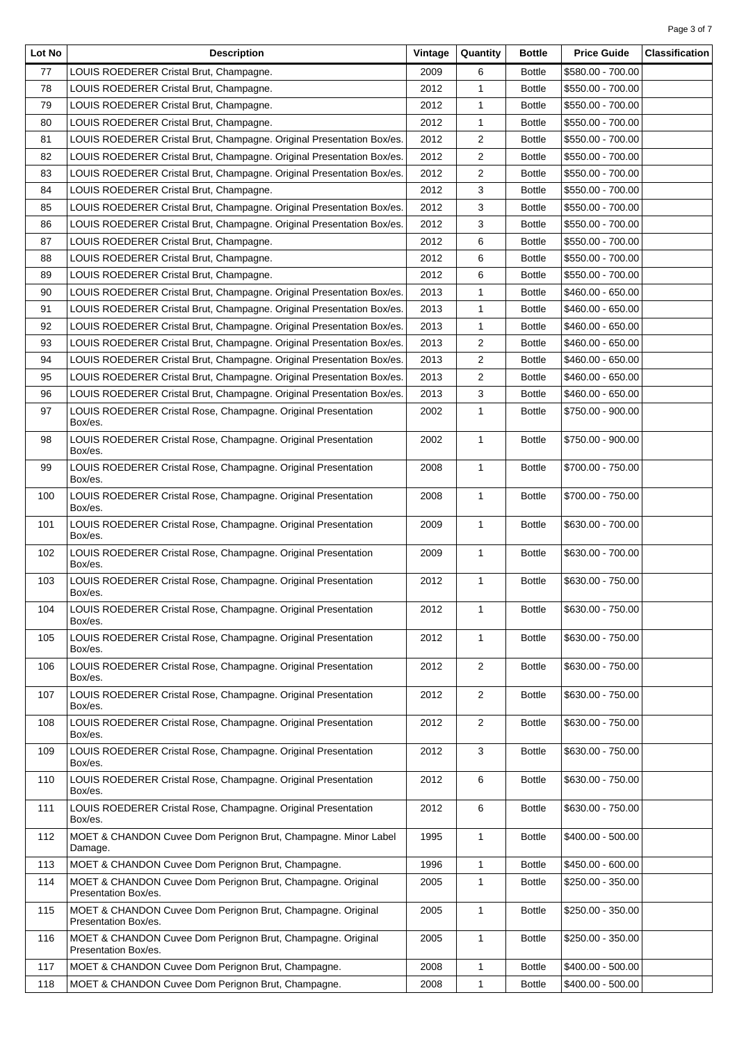| Lot No | <b>Description</b>                                                                  | Vintage | Quantity       | <b>Bottle</b> | <b>Price Guide</b> | <b>Classification</b> |
|--------|-------------------------------------------------------------------------------------|---------|----------------|---------------|--------------------|-----------------------|
| 77     | LOUIS ROEDERER Cristal Brut, Champagne.                                             | 2009    | 6              | <b>Bottle</b> | \$580.00 - 700.00  |                       |
| 78     | LOUIS ROEDERER Cristal Brut, Champagne.                                             | 2012    | 1              | <b>Bottle</b> | \$550.00 - 700.00  |                       |
| 79     | LOUIS ROEDERER Cristal Brut, Champagne.                                             | 2012    | 1              | <b>Bottle</b> | \$550.00 - 700.00  |                       |
| 80     | LOUIS ROEDERER Cristal Brut, Champagne.                                             | 2012    | 1              | <b>Bottle</b> | \$550.00 - 700.00  |                       |
| 81     | LOUIS ROEDERER Cristal Brut, Champagne. Original Presentation Box/es.               | 2012    | 2              | <b>Bottle</b> | \$550.00 - 700.00  |                       |
| 82     | LOUIS ROEDERER Cristal Brut, Champagne. Original Presentation Box/es.               | 2012    | 2              | <b>Bottle</b> | \$550.00 - 700.00  |                       |
| 83     | LOUIS ROEDERER Cristal Brut, Champagne. Original Presentation Box/es.               | 2012    | 2              | <b>Bottle</b> | \$550.00 - 700.00  |                       |
| 84     | LOUIS ROEDERER Cristal Brut, Champagne.                                             | 2012    | 3              | <b>Bottle</b> | \$550.00 - 700.00  |                       |
| 85     | LOUIS ROEDERER Cristal Brut, Champagne. Original Presentation Box/es.               | 2012    | 3              | <b>Bottle</b> | \$550.00 - 700.00  |                       |
| 86     | LOUIS ROEDERER Cristal Brut, Champagne. Original Presentation Box/es.               | 2012    | 3              | <b>Bottle</b> | \$550.00 - 700.00  |                       |
| 87     | LOUIS ROEDERER Cristal Brut, Champagne.                                             | 2012    | 6              | <b>Bottle</b> | \$550.00 - 700.00  |                       |
| 88     | LOUIS ROEDERER Cristal Brut, Champagne.                                             | 2012    | 6              | <b>Bottle</b> | \$550.00 - 700.00  |                       |
| 89     | LOUIS ROEDERER Cristal Brut, Champagne.                                             | 2012    | 6              | <b>Bottle</b> | \$550.00 - 700.00  |                       |
| 90     | LOUIS ROEDERER Cristal Brut, Champagne. Original Presentation Box/es.               | 2013    | 1              | <b>Bottle</b> | \$460.00 - 650.00  |                       |
| 91     | LOUIS ROEDERER Cristal Brut, Champagne. Original Presentation Box/es.               | 2013    | 1              | <b>Bottle</b> | \$460.00 - 650.00  |                       |
| 92     | LOUIS ROEDERER Cristal Brut, Champagne. Original Presentation Box/es.               | 2013    | 1              | <b>Bottle</b> | \$460.00 - 650.00  |                       |
| 93     | LOUIS ROEDERER Cristal Brut, Champagne. Original Presentation Box/es.               | 2013    | 2              | <b>Bottle</b> | \$460.00 - 650.00  |                       |
| 94     | LOUIS ROEDERER Cristal Brut, Champagne. Original Presentation Box/es.               | 2013    | 2              | <b>Bottle</b> | \$460.00 - 650.00  |                       |
| 95     | LOUIS ROEDERER Cristal Brut, Champagne. Original Presentation Box/es.               | 2013    | 2              | <b>Bottle</b> | \$460.00 - 650.00  |                       |
| 96     | LOUIS ROEDERER Cristal Brut, Champagne. Original Presentation Box/es.               | 2013    | 3              | <b>Bottle</b> | \$460.00 - 650.00  |                       |
| 97     | LOUIS ROEDERER Cristal Rose, Champagne. Original Presentation                       | 2002    | 1              | <b>Bottle</b> | \$750.00 - 900.00  |                       |
|        | Box/es.                                                                             |         |                |               |                    |                       |
| 98     | LOUIS ROEDERER Cristal Rose, Champagne. Original Presentation<br>Box/es.            | 2002    | 1              | <b>Bottle</b> | \$750.00 - 900.00  |                       |
| 99     | LOUIS ROEDERER Cristal Rose, Champagne. Original Presentation<br>Box/es.            | 2008    | 1              | <b>Bottle</b> | \$700.00 - 750.00  |                       |
| 100    | LOUIS ROEDERER Cristal Rose, Champagne. Original Presentation<br>Box/es.            | 2008    | $\mathbf{1}$   | <b>Bottle</b> | \$700.00 - 750.00  |                       |
| 101    | LOUIS ROEDERER Cristal Rose, Champagne. Original Presentation<br>Box/es.            | 2009    | 1              | <b>Bottle</b> | \$630.00 - 700.00  |                       |
| 102    | LOUIS ROEDERER Cristal Rose, Champagne. Original Presentation<br>Box/es.            | 2009    | $\mathbf{1}$   | <b>Bottle</b> | \$630.00 - 700.00  |                       |
| 103    | LOUIS ROEDERER Cristal Rose, Champagne. Original Presentation<br>Box/es.            | 2012    | 1              | <b>Bottle</b> | \$630.00 - 750.00  |                       |
| 104    | LOUIS ROEDERER Cristal Rose, Champagne. Original Presentation<br>Box/es.            | 2012    | 1              | <b>Bottle</b> | \$630.00 - 750.00  |                       |
| 105    | LOUIS ROEDERER Cristal Rose, Champagne. Original Presentation<br>Box/es.            | 2012    | $\mathbf{1}$   | <b>Bottle</b> | \$630.00 - 750.00  |                       |
| 106    | LOUIS ROEDERER Cristal Rose, Champagne. Original Presentation<br>Box/es.            | 2012    | 2              | <b>Bottle</b> | \$630.00 - 750.00  |                       |
| 107    | LOUIS ROEDERER Cristal Rose, Champagne. Original Presentation<br>Box/es.            | 2012    | $\overline{2}$ | <b>Bottle</b> | \$630.00 - 750.00  |                       |
| 108    | LOUIS ROEDERER Cristal Rose, Champagne. Original Presentation<br>Box/es.            | 2012    | $\overline{2}$ | <b>Bottle</b> | \$630.00 - 750.00  |                       |
| 109    | LOUIS ROEDERER Cristal Rose, Champagne. Original Presentation<br>Box/es.            | 2012    | 3              | <b>Bottle</b> | \$630.00 - 750.00  |                       |
| 110    | LOUIS ROEDERER Cristal Rose, Champagne. Original Presentation<br>Box/es.            | 2012    | 6              | <b>Bottle</b> | \$630.00 - 750.00  |                       |
| 111    | LOUIS ROEDERER Cristal Rose, Champagne. Original Presentation<br>Box/es.            | 2012    | 6              | <b>Bottle</b> | \$630.00 - 750.00  |                       |
| 112    | MOET & CHANDON Cuvee Dom Perignon Brut, Champagne. Minor Label<br>Damage.           | 1995    | 1              | <b>Bottle</b> | \$400.00 - 500.00  |                       |
| 113    | MOET & CHANDON Cuvee Dom Perignon Brut, Champagne.                                  | 1996    | 1              | <b>Bottle</b> | \$450.00 - 600.00  |                       |
| 114    | MOET & CHANDON Cuvee Dom Perignon Brut, Champagne. Original<br>Presentation Box/es. | 2005    | $\mathbf{1}$   | <b>Bottle</b> | \$250.00 - 350.00  |                       |
| 115    | MOET & CHANDON Cuvee Dom Perignon Brut, Champagne. Original<br>Presentation Box/es. | 2005    | 1              | <b>Bottle</b> | \$250.00 - 350.00  |                       |
| 116    | MOET & CHANDON Cuvee Dom Perignon Brut, Champagne. Original<br>Presentation Box/es. | 2005    | 1              | <b>Bottle</b> | \$250.00 - 350.00  |                       |
| 117    | MOET & CHANDON Cuvee Dom Perignon Brut, Champagne.                                  | 2008    | 1              | <b>Bottle</b> | \$400.00 - 500.00  |                       |
| 118    | MOET & CHANDON Cuvee Dom Perignon Brut, Champagne.                                  | 2008    | 1              | <b>Bottle</b> | \$400.00 - 500.00  |                       |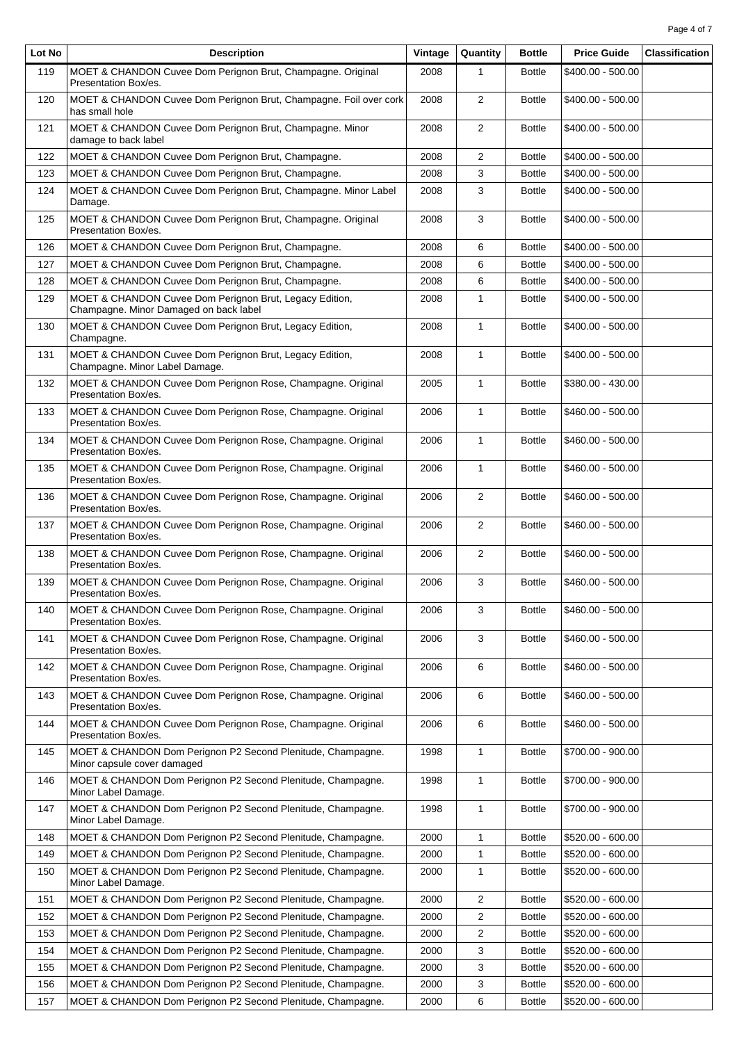| Lot No | <b>Description</b>                                                                                | Vintage | Quantity       | <b>Bottle</b> | <b>Price Guide</b> | <b>Classification</b> |
|--------|---------------------------------------------------------------------------------------------------|---------|----------------|---------------|--------------------|-----------------------|
| 119    | MOET & CHANDON Cuvee Dom Perignon Brut, Champagne. Original<br>Presentation Box/es.               | 2008    | 1              | <b>Bottle</b> | \$400.00 - 500.00  |                       |
| 120    | MOET & CHANDON Cuvee Dom Perignon Brut, Champagne. Foil over cork<br>has small hole               | 2008    | 2              | <b>Bottle</b> | \$400.00 - 500.00  |                       |
| 121    | MOET & CHANDON Cuvee Dom Perignon Brut, Champagne. Minor<br>damage to back label                  | 2008    | $\overline{2}$ | <b>Bottle</b> | \$400.00 - 500.00  |                       |
| 122    | MOET & CHANDON Cuvee Dom Perignon Brut, Champagne.                                                | 2008    | $\overline{2}$ | <b>Bottle</b> | \$400.00 - 500.00  |                       |
| 123    | MOET & CHANDON Cuvee Dom Perignon Brut, Champagne.                                                | 2008    | 3              | <b>Bottle</b> | \$400.00 - 500.00  |                       |
| 124    | MOET & CHANDON Cuvee Dom Perignon Brut, Champagne. Minor Label<br>Damage.                         | 2008    | 3              | <b>Bottle</b> | \$400.00 - 500.00  |                       |
| 125    | MOET & CHANDON Cuvee Dom Perignon Brut, Champagne. Original<br>Presentation Box/es.               | 2008    | 3              | <b>Bottle</b> | \$400.00 - 500.00  |                       |
| 126    | MOET & CHANDON Cuvee Dom Perignon Brut, Champagne.                                                | 2008    | 6              | <b>Bottle</b> | \$400.00 - 500.00  |                       |
| 127    | MOET & CHANDON Cuvee Dom Perignon Brut, Champagne.                                                | 2008    | 6              | <b>Bottle</b> | \$400.00 - 500.00  |                       |
| 128    | MOET & CHANDON Cuvee Dom Perignon Brut, Champagne.                                                | 2008    | 6              | <b>Bottle</b> | \$400.00 - 500.00  |                       |
| 129    | MOET & CHANDON Cuvee Dom Perignon Brut, Legacy Edition,<br>Champagne. Minor Damaged on back label | 2008    | $\mathbf{1}$   | <b>Bottle</b> | \$400.00 - 500.00  |                       |
| 130    | MOET & CHANDON Cuvee Dom Perignon Brut, Legacy Edition,<br>Champagne.                             | 2008    | $\mathbf{1}$   | <b>Bottle</b> | \$400.00 - 500.00  |                       |
| 131    | MOET & CHANDON Cuvee Dom Perignon Brut, Legacy Edition,<br>Champagne. Minor Label Damage.         | 2008    | $\mathbf{1}$   | <b>Bottle</b> | \$400.00 - 500.00  |                       |
| 132    | MOET & CHANDON Cuvee Dom Perignon Rose, Champagne. Original<br>Presentation Box/es.               | 2005    | $\mathbf{1}$   | <b>Bottle</b> | \$380.00 - 430.00  |                       |
| 133    | MOET & CHANDON Cuvee Dom Perignon Rose, Champagne. Original<br>Presentation Box/es.               | 2006    | $\mathbf{1}$   | <b>Bottle</b> | \$460.00 - 500.00  |                       |
| 134    | MOET & CHANDON Cuvee Dom Perignon Rose, Champagne. Original<br>Presentation Box/es.               | 2006    | $\mathbf{1}$   | <b>Bottle</b> | \$460.00 - 500.00  |                       |
| 135    | MOET & CHANDON Cuvee Dom Perignon Rose, Champagne. Original<br>Presentation Box/es.               | 2006    | $\mathbf{1}$   | <b>Bottle</b> | \$460.00 - 500.00  |                       |
| 136    | MOET & CHANDON Cuvee Dom Perignon Rose, Champagne. Original<br>Presentation Box/es.               | 2006    | 2              | <b>Bottle</b> | \$460.00 - 500.00  |                       |
| 137    | MOET & CHANDON Cuvee Dom Perignon Rose, Champagne. Original<br>Presentation Box/es.               | 2006    | $\overline{2}$ | <b>Bottle</b> | \$460.00 - 500.00  |                       |
| 138    | MOET & CHANDON Cuvee Dom Perignon Rose, Champagne. Original<br>Presentation Box/es.               | 2006    | $\overline{2}$ | <b>Bottle</b> | \$460.00 - 500.00  |                       |
| 139    | MOET & CHANDON Cuvee Dom Perignon Rose, Champagne. Original<br>Presentation Box/es.               | 2006    | 3              | <b>Bottle</b> | \$460.00 - 500.00  |                       |
| 140    | MOET & CHANDON Cuvee Dom Perignon Rose, Champagne. Original<br>Presentation Box/es.               | 2006    | 3              | <b>Bottle</b> | \$460.00 - 500.00  |                       |
| 141    | MOET & CHANDON Cuvee Dom Perignon Rose, Champagne. Original<br>Presentation Box/es.               | 2006    | 3              | <b>Bottle</b> | \$460.00 - 500.00  |                       |
| 142    | MOET & CHANDON Cuvee Dom Perignon Rose, Champagne. Original<br>Presentation Box/es.               | 2006    | 6              | <b>Bottle</b> | \$460.00 - 500.00  |                       |
| 143    | MOET & CHANDON Cuvee Dom Perignon Rose, Champagne. Original<br>Presentation Box/es.               | 2006    | 6              | <b>Bottle</b> | \$460.00 - 500.00  |                       |
| 144    | MOET & CHANDON Cuvee Dom Perignon Rose, Champagne. Original<br>Presentation Box/es.               | 2006    | 6              | <b>Bottle</b> | \$460.00 - 500.00  |                       |
| 145    | MOET & CHANDON Dom Perignon P2 Second Plenitude, Champagne.<br>Minor capsule cover damaged        | 1998    | $\mathbf{1}$   | <b>Bottle</b> | \$700.00 - 900.00  |                       |
| 146    | MOET & CHANDON Dom Perignon P2 Second Plenitude, Champagne.<br>Minor Label Damage.                | 1998    | $\mathbf{1}$   | <b>Bottle</b> | \$700.00 - 900.00  |                       |
| 147    | MOET & CHANDON Dom Perignon P2 Second Plenitude, Champagne.<br>Minor Label Damage.                | 1998    | $\mathbf{1}$   | <b>Bottle</b> | \$700.00 - 900.00  |                       |
| 148    | MOET & CHANDON Dom Perignon P2 Second Plenitude, Champagne.                                       | 2000    | $\mathbf{1}$   | <b>Bottle</b> | \$520.00 - 600.00  |                       |
| 149    | MOET & CHANDON Dom Perignon P2 Second Plenitude, Champagne.                                       | 2000    | $\mathbf{1}$   | <b>Bottle</b> | \$520.00 - 600.00  |                       |
| 150    | MOET & CHANDON Dom Perignon P2 Second Plenitude, Champagne.<br>Minor Label Damage.                | 2000    | $\mathbf{1}$   | <b>Bottle</b> | \$520.00 - 600.00  |                       |
| 151    | MOET & CHANDON Dom Perignon P2 Second Plenitude, Champagne.                                       | 2000    | $\overline{c}$ | <b>Bottle</b> | \$520.00 - 600.00  |                       |
| 152    | MOET & CHANDON Dom Perignon P2 Second Plenitude, Champagne.                                       | 2000    | 2              | <b>Bottle</b> | \$520.00 - 600.00  |                       |
| 153    | MOET & CHANDON Dom Perignon P2 Second Plenitude, Champagne.                                       | 2000    | 2              | <b>Bottle</b> | \$520.00 - 600.00  |                       |
| 154    | MOET & CHANDON Dom Perignon P2 Second Plenitude, Champagne.                                       | 2000    | 3              | <b>Bottle</b> | \$520.00 - 600.00  |                       |
| 155    | MOET & CHANDON Dom Perignon P2 Second Plenitude, Champagne.                                       | 2000    | 3              | <b>Bottle</b> | \$520.00 - 600.00  |                       |
| 156    | MOET & CHANDON Dom Perignon P2 Second Plenitude, Champagne.                                       | 2000    | 3              | <b>Bottle</b> | \$520.00 - 600.00  |                       |
| 157    | MOET & CHANDON Dom Perignon P2 Second Plenitude, Champagne.                                       | 2000    | 6              | <b>Bottle</b> | \$520.00 - 600.00  |                       |

T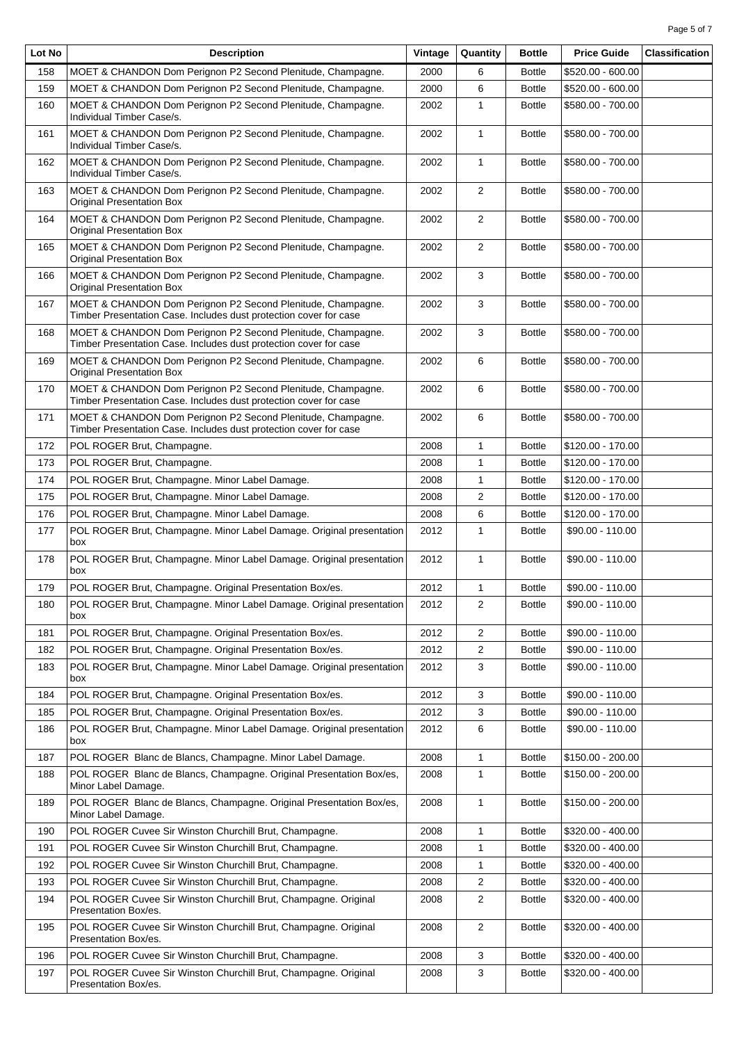| Page 5 of 7 |  |  |
|-------------|--|--|
|             |  |  |

| Lot No | <b>Description</b>                                                                                                               | Vintage | Quantity       | <b>Bottle</b> | <b>Price Guide</b> | <b>Classification</b> |
|--------|----------------------------------------------------------------------------------------------------------------------------------|---------|----------------|---------------|--------------------|-----------------------|
| 158    | MOET & CHANDON Dom Perignon P2 Second Plenitude, Champagne.                                                                      | 2000    | 6              | <b>Bottle</b> | \$520.00 - 600.00  |                       |
| 159    | MOET & CHANDON Dom Perignon P2 Second Plenitude, Champagne.                                                                      | 2000    | 6              | <b>Bottle</b> | \$520.00 - 600.00  |                       |
| 160    | MOET & CHANDON Dom Perignon P2 Second Plenitude, Champagne.<br>Individual Timber Case/s.                                         | 2002    | 1              | <b>Bottle</b> | \$580.00 - 700.00  |                       |
| 161    | MOET & CHANDON Dom Perignon P2 Second Plenitude, Champagne.<br>Individual Timber Case/s.                                         | 2002    | 1              | <b>Bottle</b> | \$580.00 - 700.00  |                       |
| 162    | MOET & CHANDON Dom Perignon P2 Second Plenitude, Champagne.<br>Individual Timber Case/s.                                         | 2002    | 1              | <b>Bottle</b> | \$580.00 - 700.00  |                       |
| 163    | MOET & CHANDON Dom Perignon P2 Second Plenitude, Champagne.<br><b>Original Presentation Box</b>                                  | 2002    | $\overline{2}$ | <b>Bottle</b> | \$580.00 - 700.00  |                       |
| 164    | MOET & CHANDON Dom Perignon P2 Second Plenitude, Champagne.<br><b>Original Presentation Box</b>                                  | 2002    | $\overline{2}$ | <b>Bottle</b> | \$580.00 - 700.00  |                       |
| 165    | MOET & CHANDON Dom Perignon P2 Second Plenitude, Champagne.<br><b>Original Presentation Box</b>                                  | 2002    | $\overline{2}$ | <b>Bottle</b> | \$580.00 - 700.00  |                       |
| 166    | MOET & CHANDON Dom Perignon P2 Second Plenitude, Champagne.<br><b>Original Presentation Box</b>                                  | 2002    | 3              | <b>Bottle</b> | \$580.00 - 700.00  |                       |
| 167    | MOET & CHANDON Dom Perignon P2 Second Plenitude, Champagne.<br>Timber Presentation Case. Includes dust protection cover for case | 2002    | 3              | <b>Bottle</b> | \$580.00 - 700.00  |                       |
| 168    | MOET & CHANDON Dom Perignon P2 Second Plenitude, Champagne.<br>Timber Presentation Case. Includes dust protection cover for case | 2002    | 3              | <b>Bottle</b> | \$580.00 - 700.00  |                       |
| 169    | MOET & CHANDON Dom Perignon P2 Second Plenitude, Champagne.<br><b>Original Presentation Box</b>                                  | 2002    | 6              | <b>Bottle</b> | \$580.00 - 700.00  |                       |
| 170    | MOET & CHANDON Dom Perignon P2 Second Plenitude, Champagne.<br>Timber Presentation Case. Includes dust protection cover for case | 2002    | 6              | <b>Bottle</b> | \$580.00 - 700.00  |                       |
| 171    | MOET & CHANDON Dom Perignon P2 Second Plenitude, Champagne.<br>Timber Presentation Case. Includes dust protection cover for case | 2002    | 6              | <b>Bottle</b> | \$580.00 - 700.00  |                       |
| 172    | POL ROGER Brut, Champagne.                                                                                                       | 2008    | 1              | <b>Bottle</b> | \$120.00 - 170.00  |                       |
| 173    | POL ROGER Brut, Champagne.                                                                                                       | 2008    | $\mathbf{1}$   | <b>Bottle</b> | \$120.00 - 170.00  |                       |
| 174    | POL ROGER Brut, Champagne. Minor Label Damage.                                                                                   | 2008    | 1              | <b>Bottle</b> | \$120.00 - 170.00  |                       |
| 175    | POL ROGER Brut, Champagne. Minor Label Damage.                                                                                   | 2008    | $\overline{2}$ | <b>Bottle</b> | \$120.00 - 170.00  |                       |
| 176    | POL ROGER Brut, Champagne. Minor Label Damage.                                                                                   | 2008    | 6              | <b>Bottle</b> | \$120.00 - 170.00  |                       |
| 177    | POL ROGER Brut, Champagne. Minor Label Damage. Original presentation<br>box                                                      | 2012    | $\mathbf{1}$   | <b>Bottle</b> | \$90.00 - 110.00   |                       |
| 178    | POL ROGER Brut, Champagne. Minor Label Damage. Original presentation<br>box                                                      | 2012    | 1              | <b>Bottle</b> | \$90.00 - 110.00   |                       |
| 179    | POL ROGER Brut, Champagne. Original Presentation Box/es.                                                                         | 2012    | 1              | <b>Bottle</b> | \$90.00 - 110.00   |                       |
| 180    | POL ROGER Brut, Champagne. Minor Label Damage. Original presentation<br>box                                                      | 2012    | 2              | <b>Bottle</b> | \$90.00 - 110.00   |                       |
| 181    | POL ROGER Brut, Champagne. Original Presentation Box/es.                                                                         | 2012    | 2              | <b>Bottle</b> | \$90.00 - 110.00   |                       |
| 182    | POL ROGER Brut, Champagne. Original Presentation Box/es.                                                                         | 2012    | 2              | <b>Bottle</b> | \$90.00 - 110.00   |                       |
| 183    | POL ROGER Brut, Champagne. Minor Label Damage. Original presentation<br>box                                                      | 2012    | 3              | <b>Bottle</b> | \$90.00 - 110.00   |                       |
| 184    | POL ROGER Brut, Champagne. Original Presentation Box/es.                                                                         | 2012    | 3              | <b>Bottle</b> | \$90.00 - 110.00   |                       |
| 185    | POL ROGER Brut, Champagne. Original Presentation Box/es.                                                                         | 2012    | 3              | <b>Bottle</b> | \$90.00 - 110.00   |                       |
| 186    | POL ROGER Brut, Champagne. Minor Label Damage. Original presentation<br>box                                                      | 2012    | 6              | <b>Bottle</b> | \$90.00 - 110.00   |                       |
| 187    | POL ROGER Blanc de Blancs, Champagne. Minor Label Damage.                                                                        | 2008    | 1              | <b>Bottle</b> | \$150.00 - 200.00  |                       |
| 188    | POL ROGER Blanc de Blancs, Champagne. Original Presentation Box/es,<br>Minor Label Damage.                                       | 2008    | 1              | <b>Bottle</b> | \$150.00 - 200.00  |                       |
| 189    | POL ROGER Blanc de Blancs, Champagne. Original Presentation Box/es,<br>Minor Label Damage.                                       | 2008    | 1              | <b>Bottle</b> | \$150.00 - 200.00  |                       |
| 190    | POL ROGER Cuvee Sir Winston Churchill Brut, Champagne.                                                                           | 2008    | 1              | <b>Bottle</b> | \$320.00 - 400.00  |                       |
| 191    | POL ROGER Cuvee Sir Winston Churchill Brut, Champagne.                                                                           | 2008    | 1              | <b>Bottle</b> | \$320.00 - 400.00  |                       |
| 192    | POL ROGER Cuvee Sir Winston Churchill Brut, Champagne.                                                                           | 2008    | 1              | <b>Bottle</b> | \$320.00 - 400.00  |                       |
| 193    | POL ROGER Cuvee Sir Winston Churchill Brut, Champagne.                                                                           | 2008    | 2              | <b>Bottle</b> | \$320.00 - 400.00  |                       |
| 194    | POL ROGER Cuvee Sir Winston Churchill Brut, Champagne. Original<br>Presentation Box/es.                                          | 2008    | 2              | <b>Bottle</b> | \$320.00 - 400.00  |                       |
| 195    | POL ROGER Cuvee Sir Winston Churchill Brut, Champagne. Original<br>Presentation Box/es.                                          | 2008    | 2              | <b>Bottle</b> | \$320.00 - 400.00  |                       |
| 196    | POL ROGER Cuvee Sir Winston Churchill Brut, Champagne.                                                                           | 2008    | 3              | <b>Bottle</b> | \$320.00 - 400.00  |                       |
| 197    | POL ROGER Cuvee Sir Winston Churchill Brut, Champagne. Original<br>Presentation Box/es.                                          | 2008    | 3              | <b>Bottle</b> | \$320.00 - 400.00  |                       |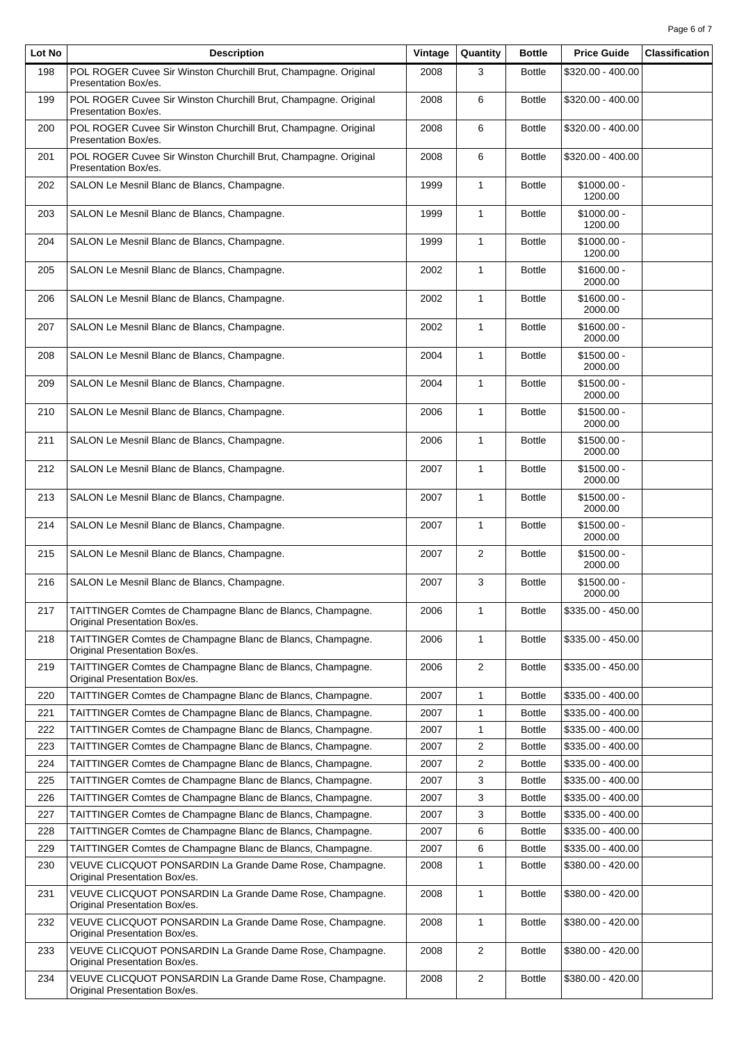| Lot No | <b>Description</b>                                                                          | Vintage | Quantity       | <b>Bottle</b> | <b>Price Guide</b>      | <b>Classification</b> |
|--------|---------------------------------------------------------------------------------------------|---------|----------------|---------------|-------------------------|-----------------------|
| 198    | POL ROGER Cuvee Sir Winston Churchill Brut, Champagne. Original<br>Presentation Box/es.     | 2008    | 3              | <b>Bottle</b> | \$320.00 - 400.00       |                       |
| 199    | POL ROGER Cuvee Sir Winston Churchill Brut, Champagne. Original<br>Presentation Box/es.     | 2008    | 6              | <b>Bottle</b> | \$320.00 - 400.00       |                       |
| 200    | POL ROGER Cuvee Sir Winston Churchill Brut, Champagne. Original<br>Presentation Box/es.     | 2008    | 6              | <b>Bottle</b> | \$320.00 - 400.00       |                       |
| 201    | POL ROGER Cuvee Sir Winston Churchill Brut, Champagne. Original<br>Presentation Box/es.     | 2008    | 6              | <b>Bottle</b> | \$320.00 - 400.00       |                       |
| 202    | SALON Le Mesnil Blanc de Blancs, Champagne.                                                 | 1999    | $\mathbf{1}$   | <b>Bottle</b> | $$1000.00 -$<br>1200.00 |                       |
| 203    | SALON Le Mesnil Blanc de Blancs, Champagne.                                                 | 1999    | $\mathbf{1}$   | <b>Bottle</b> | $$1000.00 -$<br>1200.00 |                       |
| 204    | SALON Le Mesnil Blanc de Blancs, Champagne.                                                 | 1999    | $\mathbf{1}$   | <b>Bottle</b> | $$1000.00 -$<br>1200.00 |                       |
| 205    | SALON Le Mesnil Blanc de Blancs, Champagne.                                                 | 2002    | $\mathbf{1}$   | <b>Bottle</b> | $$1600.00 -$<br>2000.00 |                       |
| 206    | SALON Le Mesnil Blanc de Blancs, Champagne.                                                 | 2002    | $\mathbf{1}$   | <b>Bottle</b> | $$1600.00 -$<br>2000.00 |                       |
| 207    | SALON Le Mesnil Blanc de Blancs, Champagne.                                                 | 2002    | $\mathbf{1}$   | <b>Bottle</b> | $$1600.00 -$<br>2000.00 |                       |
| 208    | SALON Le Mesnil Blanc de Blancs, Champagne.                                                 | 2004    | $\mathbf{1}$   | <b>Bottle</b> | $$1500.00 -$<br>2000.00 |                       |
| 209    | SALON Le Mesnil Blanc de Blancs, Champagne.                                                 | 2004    | $\mathbf{1}$   | <b>Bottle</b> | $$1500.00 -$<br>2000.00 |                       |
| 210    | SALON Le Mesnil Blanc de Blancs, Champagne.                                                 | 2006    | $\mathbf{1}$   | <b>Bottle</b> | $$1500.00 -$<br>2000.00 |                       |
| 211    | SALON Le Mesnil Blanc de Blancs, Champagne.                                                 | 2006    | $\mathbf{1}$   | <b>Bottle</b> | $$1500.00 -$<br>2000.00 |                       |
| 212    | SALON Le Mesnil Blanc de Blancs, Champagne.                                                 | 2007    | $\mathbf{1}$   | <b>Bottle</b> | $$1500.00 -$<br>2000.00 |                       |
| 213    | SALON Le Mesnil Blanc de Blancs, Champagne.                                                 | 2007    | 1              | <b>Bottle</b> | $$1500.00 -$<br>2000.00 |                       |
| 214    | SALON Le Mesnil Blanc de Blancs, Champagne.                                                 | 2007    | $\mathbf{1}$   | <b>Bottle</b> | $$1500.00 -$<br>2000.00 |                       |
| 215    | SALON Le Mesnil Blanc de Blancs, Champagne.                                                 | 2007    | $\overline{2}$ | <b>Bottle</b> | $$1500.00 -$<br>2000.00 |                       |
| 216    | SALON Le Mesnil Blanc de Blancs, Champagne.                                                 | 2007    | 3              | <b>Bottle</b> | $$1500.00 -$<br>2000.00 |                       |
| 217    | TAITTINGER Comtes de Champagne Blanc de Blancs, Champagne.<br>Original Presentation Box/es. | 2006    | 1              | <b>Bottle</b> | $$335.00 - 450.00$      |                       |
| 218    | TAITTINGER Comtes de Champagne Blanc de Blancs, Champagne.<br>Original Presentation Box/es. | 2006    | 1              | <b>Bottle</b> | \$335.00 - 450.00       |                       |
| 219    | TAITTINGER Comtes de Champagne Blanc de Blancs, Champagne.<br>Original Presentation Box/es. | 2006    | $\overline{2}$ | <b>Bottle</b> | \$335.00 - 450.00       |                       |
| 220    | TAITTINGER Comtes de Champagne Blanc de Blancs, Champagne.                                  | 2007    | 1              | <b>Bottle</b> | \$335.00 - 400.00       |                       |
| 221    | TAITTINGER Comtes de Champagne Blanc de Blancs, Champagne.                                  | 2007    | 1              | <b>Bottle</b> | \$335.00 - 400.00       |                       |
| 222    | TAITTINGER Comtes de Champagne Blanc de Blancs, Champagne.                                  | 2007    | 1              | <b>Bottle</b> | \$335.00 - 400.00       |                       |
| 223    | TAITTINGER Comtes de Champagne Blanc de Blancs, Champagne.                                  | 2007    | 2              | <b>Bottle</b> | \$335.00 - 400.00       |                       |
| 224    | TAITTINGER Comtes de Champagne Blanc de Blancs, Champagne.                                  | 2007    | 2              | <b>Bottle</b> | \$335.00 - 400.00       |                       |
| 225    | TAITTINGER Comtes de Champagne Blanc de Blancs, Champagne.                                  | 2007    | 3              | Bottle        | \$335.00 - 400.00       |                       |
| 226    | TAITTINGER Comtes de Champagne Blanc de Blancs, Champagne.                                  | 2007    | 3              | Bottle        | \$335.00 - 400.00       |                       |
| 227    | TAITTINGER Comtes de Champagne Blanc de Blancs, Champagne.                                  | 2007    | 3              | <b>Bottle</b> | \$335.00 - 400.00       |                       |
| 228    | TAITTINGER Comtes de Champagne Blanc de Blancs, Champagne.                                  | 2007    | 6              | Bottle        | \$335.00 - 400.00       |                       |
| 229    | TAITTINGER Comtes de Champagne Blanc de Blancs, Champagne.                                  | 2007    | 6              | <b>Bottle</b> | \$335.00 - 400.00       |                       |
| 230    | VEUVE CLICQUOT PONSARDIN La Grande Dame Rose, Champagne.<br>Original Presentation Box/es.   | 2008    | 1              | <b>Bottle</b> | \$380.00 - 420.00       |                       |
| 231    | VEUVE CLICQUOT PONSARDIN La Grande Dame Rose, Champagne.<br>Original Presentation Box/es.   | 2008    | 1              | <b>Bottle</b> | \$380.00 - 420.00       |                       |
| 232    | VEUVE CLICQUOT PONSARDIN La Grande Dame Rose, Champagne.<br>Original Presentation Box/es.   | 2008    | $\mathbf{1}$   | <b>Bottle</b> | \$380.00 - 420.00       |                       |
| 233    | VEUVE CLICQUOT PONSARDIN La Grande Dame Rose, Champagne.<br>Original Presentation Box/es.   | 2008    | $\overline{2}$ | <b>Bottle</b> | \$380.00 - 420.00       |                       |
| 234    | VEUVE CLICQUOT PONSARDIN La Grande Dame Rose, Champagne.<br>Original Presentation Box/es.   | 2008    | $\overline{c}$ | <b>Bottle</b> | \$380.00 - 420.00       |                       |